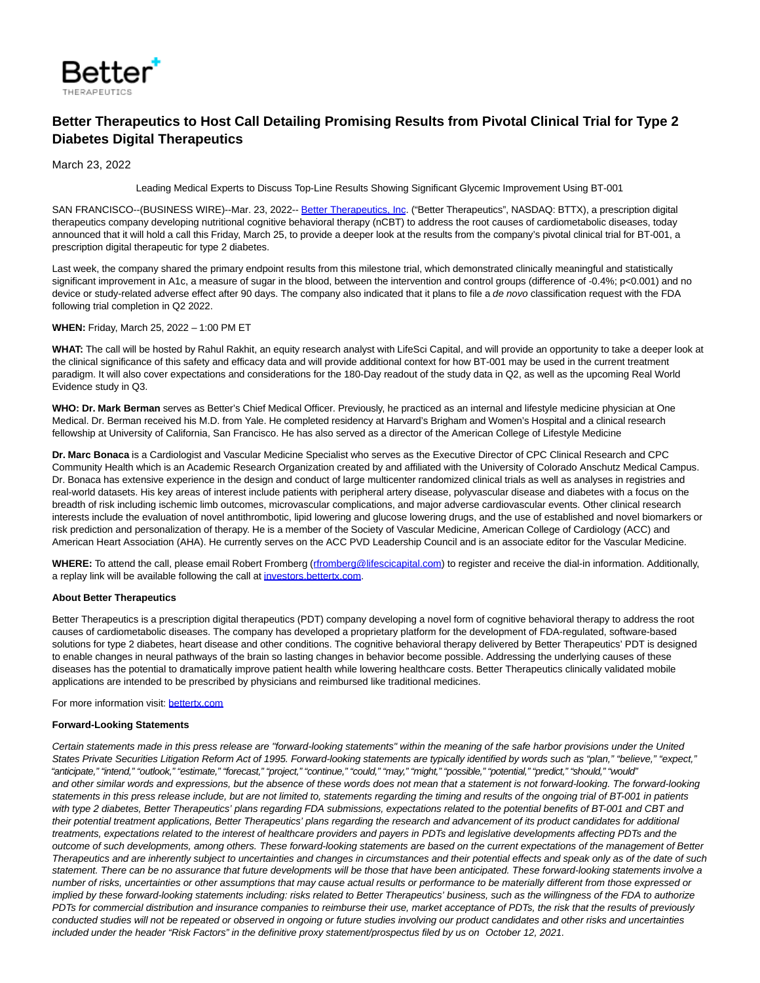

## **Better Therapeutics to Host Call Detailing Promising Results from Pivotal Clinical Trial for Type 2 Diabetes Digital Therapeutics**

March 23, 2022

Leading Medical Experts to Discuss Top-Line Results Showing Significant Glycemic Improvement Using BT-001

SAN FRANCISCO--(BUSINESS WIRE)--Mar. 23, 2022-- [Better Therapeutics, Inc.](https://cts.businesswire.com/ct/CT?id=smartlink&url=https%3A%2F%2Fwww.bettertx.com%2F&esheet=52615873&newsitemid=20220323005268&lan=en-US&anchor=Better+Therapeutics%2C+Inc&index=1&md5=5f3866259e11d3edd622e9ed09039084) ("Better Therapeutics", NASDAQ: BTTX), a prescription digital therapeutics company developing nutritional cognitive behavioral therapy (nCBT) to address the root causes of cardiometabolic diseases, today announced that it will hold a call this Friday, March 25, to provide a deeper look at the results from the company's pivotal clinical trial for BT-001, a prescription digital therapeutic for type 2 diabetes.

Last week, the company shared the primary endpoint results from this milestone trial, which demonstrated clinically meaningful and statistically significant improvement in A1c, a measure of sugar in the blood, between the intervention and control groups (difference of -0.4%; p<0.001) and no device or study-related adverse effect after 90 days. The company also indicated that it plans to file a de novo classification request with the FDA following trial completion in Q2 2022.

## **WHEN:** Friday, March 25, 2022 – 1:00 PM ET

**WHAT:** The call will be hosted by Rahul Rakhit, an equity research analyst with LifeSci Capital, and will provide an opportunity to take a deeper look at the clinical significance of this safety and efficacy data and will provide additional context for how BT-001 may be used in the current treatment paradigm. It will also cover expectations and considerations for the 180-Day readout of the study data in Q2, as well as the upcoming Real World Evidence study in Q3.

**WHO: Dr. Mark Berman** serves as Better's Chief Medical Officer. Previously, he practiced as an internal and lifestyle medicine physician at One Medical. Dr. Berman received his M.D. from Yale. He completed residency at Harvard's Brigham and Women's Hospital and a clinical research fellowship at University of California, San Francisco. He has also served as a director of the American College of Lifestyle Medicine

**Dr. Marc Bonaca** is a Cardiologist and Vascular Medicine Specialist who serves as the Executive Director of CPC Clinical Research and CPC Community Health which is an Academic Research Organization created by and affiliated with the University of Colorado Anschutz Medical Campus. Dr. Bonaca has extensive experience in the design and conduct of large multicenter randomized clinical trials as well as analyses in registries and real-world datasets. His key areas of interest include patients with peripheral artery disease, polyvascular disease and diabetes with a focus on the breadth of risk including ischemic limb outcomes, microvascular complications, and major adverse cardiovascular events. Other clinical research interests include the evaluation of novel antithrombotic, lipid lowering and glucose lowering drugs, and the use of established and novel biomarkers or risk prediction and personalization of therapy. He is a member of the Society of Vascular Medicine, American College of Cardiology (ACC) and American Heart Association (AHA). He currently serves on the ACC PVD Leadership Council and is an associate editor for the Vascular Medicine.

WHERE: To attend the call, please email Robert Fromberg [\(rfromberg@lifescicapital.com\)](mailto:rfromberg@lifescicapital.com?subject=I) to register and receive the dial-in information. Additionally, a replay link will be available following the call at [investors.bettertx.com.](http://investors.bettertx.com/)

## **About Better Therapeutics**

Better Therapeutics is a prescription digital therapeutics (PDT) company developing a novel form of cognitive behavioral therapy to address the root causes of cardiometabolic diseases. The company has developed a proprietary platform for the development of FDA-regulated, software-based solutions for type 2 diabetes, heart disease and other conditions. The cognitive behavioral therapy delivered by Better Therapeutics' PDT is designed to enable changes in neural pathways of the brain so lasting changes in behavior become possible. Addressing the underlying causes of these diseases has the potential to dramatically improve patient health while lowering healthcare costs. Better Therapeutics clinically validated mobile applications are intended to be prescribed by physicians and reimbursed like traditional medicines.

For more information visit: [bettertx.com](https://cts.businesswire.com/ct/CT?id=smartlink&url=https%3A%2F%2Fwww.bettertx.com%2F&esheet=52615873&newsitemid=20220323005268&lan=en-US&anchor=bettertx.com&index=2&md5=9c4a38113c87c579e35975cb4e9e758c)

## **Forward-Looking Statements**

Certain statements made in this press release are "forward-looking statements" within the meaning of the safe harbor provisions under the United States Private Securities Litigation Reform Act of 1995. Forward-looking statements are typically identified by words such as "plan," "believe," "expect," "anticipate," "intend," "outlook," "estimate," "forecast," "project," "continue," "could," "may," "might," "possible," "potential," "predict," "should," "would" and other similar words and expressions, but the absence of these words does not mean that a statement is not forward-looking. The forward-looking statements in this press release include, but are not limited to, statements regarding the timing and results of the ongoing trial of BT-001 in patients with type 2 diabetes, Better Therapeutics' plans regarding FDA submissions, expectations related to the potential benefits of BT-001 and CBT and their potential treatment applications, Better Therapeutics' plans regarding the research and advancement of its product candidates for additional treatments, expectations related to the interest of healthcare providers and payers in PDTs and legislative developments affecting PDTs and the outcome of such developments, among others. These forward-looking statements are based on the current expectations of the management of Better Therapeutics and are inherently subject to uncertainties and changes in circumstances and their potential effects and speak only as of the date of such statement. There can be no assurance that future developments will be those that have been anticipated. These forward-looking statements involve a number of risks, uncertainties or other assumptions that may cause actual results or performance to be materially different from those expressed or implied by these forward-looking statements including: risks related to Better Therapeutics' business, such as the willingness of the FDA to authorize PDTs for commercial distribution and insurance companies to reimburse their use, market acceptance of PDTs, the risk that the results of previously conducted studies will not be repeated or observed in ongoing or future studies involving our product candidates and other risks and uncertainties included under the header "Risk Factors" in the definitive proxy statement/prospectus filed by us on October 12, 2021.